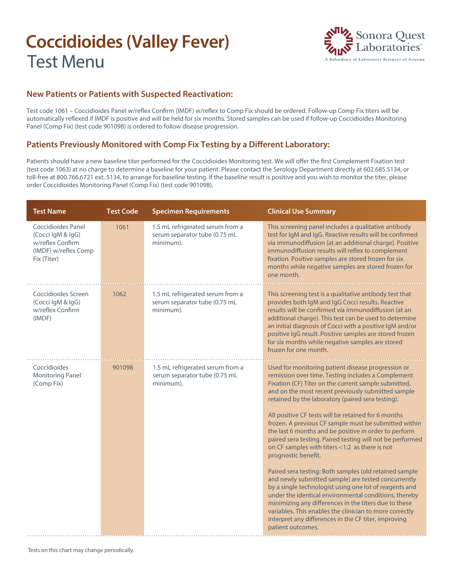# **Coccidioides (Valley Fever)** Test Menu



#### **New Patients or Patients with Suspected Reactivation:**

Test code 1061 – Coccidioides Panel w/reflex Confirm (IMDF) w/reflex to Comp Fix should be ordered. Follow-up Comp Fix titers will be automatically reflexed if IMDF is positive and will be held for six months. Stored samples can be used if follow-up Coccidioides Monitoring Panel (Comp Fix) (test code 901098) is ordered to follow disease progression.

#### **Patients Previously Monitored with Comp Fix Testing by a Different Laboratory:**

Patients should have a new baseline titer performed for the Coccidioides Monitoring test. We will offer the first Complement Fixation test (test code 1063) at no charge to determine a baseline for your patient. Please contact the Serology Department directly at 602.685.5134, or toll-free at 800.766.6721 ext. 5134, to arrange for baseline testing. If the baseline result is positive and you wish to monitor the titer, please order Coccidioides Monitoring Panel (Comp Fix) (test code 901098).

| <b>Test Name</b>                                                                                   | <b>Test Code</b> | <b>Specimen Requirements</b>                                                   | <b>Clinical Use Summary</b>                                                                                                                                                                                                                                                                                                                                                                                                                                                                                                                                                                                                                                                                                                                                                                                                                                                                                                                                                                                                     |
|----------------------------------------------------------------------------------------------------|------------------|--------------------------------------------------------------------------------|---------------------------------------------------------------------------------------------------------------------------------------------------------------------------------------------------------------------------------------------------------------------------------------------------------------------------------------------------------------------------------------------------------------------------------------------------------------------------------------------------------------------------------------------------------------------------------------------------------------------------------------------------------------------------------------------------------------------------------------------------------------------------------------------------------------------------------------------------------------------------------------------------------------------------------------------------------------------------------------------------------------------------------|
| Coccidioides Panel<br>(Cocci IgM & IgG)<br>w/reflex Confirm<br>(IMDF) w/reflex Comp<br>Fix (Titer) | 1061             | 1.5 mL refrigerated serum from a<br>serum separator tube (0.75 mL<br>minimum). | This screening panel includes a qualitative antibody<br>test for IgM and IgG. Reactive results will be confirmed<br>via immunodiffusion (at an additional charge). Positive<br>immunodiffusion results will reflex to complement<br>fixation. Positive samples are stored frozen for six<br>months while negative samples are stored frozen for<br>one month.                                                                                                                                                                                                                                                                                                                                                                                                                                                                                                                                                                                                                                                                   |
| Coccidioides Screen<br>(Cocci IgM & IgG)<br>w/reflex Confirm<br>(IMDF)                             | 1062             | 1.5 mL refrigerated serum from a<br>serum separator tube (0.75 mL<br>minimum). | This screening test is a qualitative antibody test that<br>provides both IgM and IgG Cocci results. Reactive<br>results will be confirmed via immunodiffusion (at an<br>additional charge). This test can be used to determine<br>an initial diagnosis of Cocci with a positive IgM and/or<br>positive IgG result. Positive samples are stored frozen<br>for six months while negative samples are stored<br>frozen for one month.                                                                                                                                                                                                                                                                                                                                                                                                                                                                                                                                                                                              |
| Coccidioides<br><b>Monitoring Panel</b><br>(Comp Fix)                                              | 901098           | 1.5 mL refrigerated serum from a<br>serum separator tube (0.75 mL<br>minimum). | Used for monitoring patient disease progression or<br>remission over time. Testing includes a Complement<br>Fixation (CF) Titer on the current sample submitted,<br>and on the most recent previously submitted sample<br>retained by the laboratory (paired sera testing).<br>All positive CF tests will be retained for 6 months<br>frozen. A previous CF sample must be submitted within<br>the last 6 months and be positive in order to perform<br>paired sera testing. Paired testing will not be performed<br>on CF samples with titers <1:2 as there is not<br>prognostic benefit.<br>Paired sera testing: Both samples (old retained sample<br>and newly submitted sample) are tested concurrently<br>by a single technologist using one lot of reagents and<br>under the identical environmental conditions, thereby<br>minimizing any differences in the titers due to these<br>variables. This enables the clinician to more correctly<br>interpret any differences in the CF titer, improving<br>patient outcomes. |